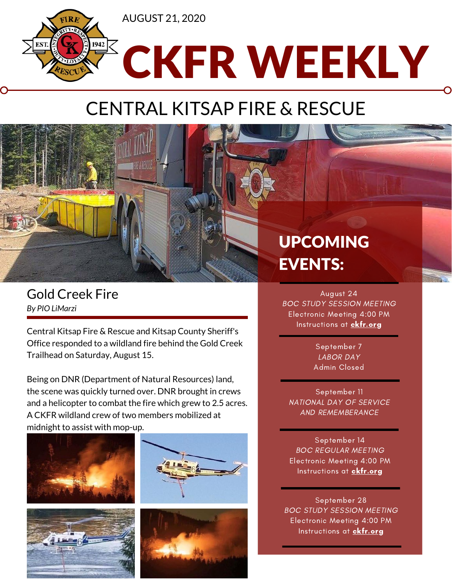

## CENTRAL KITSAP FIRE & RESCUE



Central Kitsap Fire & Rescue and Kitsap County Sheriff's Office responded to a wildland fire behind the Gold Creek Trailhead on Saturday, August 15.

Being on DNR (Department of Natural Resources) land, the scene was quickly turned over. DNR brought in crews and a helicopter to combat the fire which grew to 2.5 acres. A CKFR wildland crew of two members mobilized at midnight to assist with mop-up.









## UPCOMING EVENTS:

August 24 BOC STUDY SESSION MEETING Electronic Meeting 4:00 PM Instructions at **[ckfr.org](https://www.ckfr.org/about-us/boc-bios/)** 

> September 7 LABOR DAY Admin Closed

September 11 NATIONAL DAY OF SERVICE AND REMEMBERANCE

September 14 BOC REGULAR MEETING Electronic Meeting 4:00 PM Instructions at [ckfr.org](https://www.ckfr.org/about-us/boc-bios/)

September 28 BOC STUDY SESSION MEETING Electronic Meeting 4:00 PM Instructions at **ckfr.org**